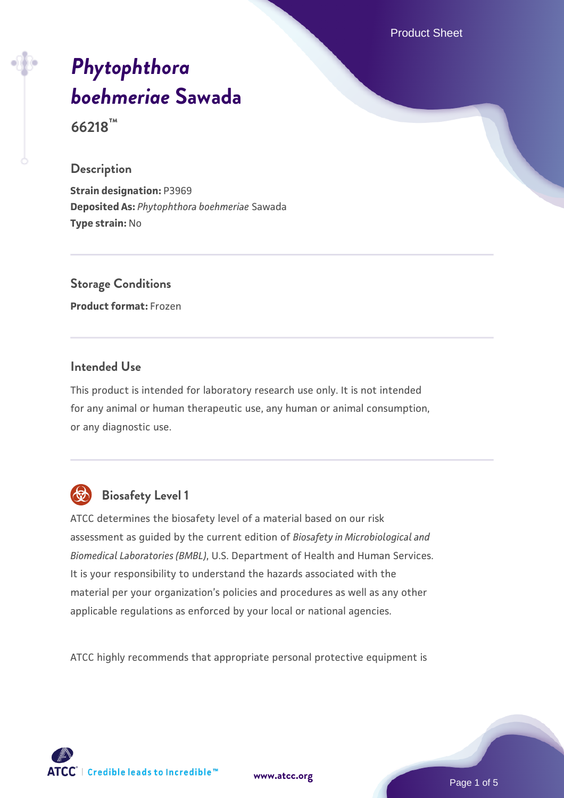Product Sheet

# *[Phytophthora](https://www.atcc.org/products/66218) [boehmeriae](https://www.atcc.org/products/66218)* **[Sawada](https://www.atcc.org/products/66218)**

**66218™**

#### **Description**

**Strain designation:** P3969 **Deposited As:** *Phytophthora boehmeriae* Sawada **Type strain:** No

# **Storage Conditions**

**Product format:** Frozen

#### **Intended Use**

This product is intended for laboratory research use only. It is not intended for any animal or human therapeutic use, any human or animal consumption, or any diagnostic use.



# **Biosafety Level 1**

ATCC determines the biosafety level of a material based on our risk assessment as guided by the current edition of *Biosafety in Microbiological and Biomedical Laboratories (BMBL)*, U.S. Department of Health and Human Services. It is your responsibility to understand the hazards associated with the material per your organization's policies and procedures as well as any other applicable regulations as enforced by your local or national agencies.

ATCC highly recommends that appropriate personal protective equipment is



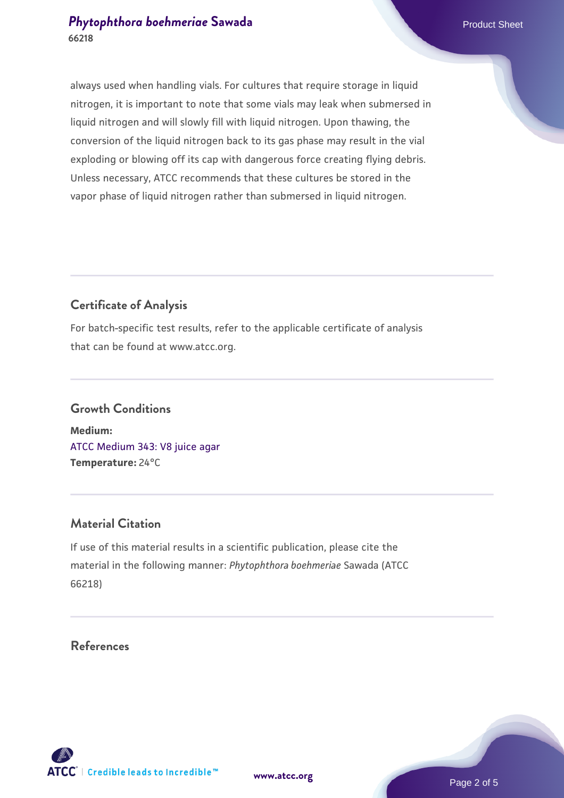#### **[Phytophthora boehmeriae](https://www.atcc.org/products/66218) [Sawada](https://www.atcc.org/products/66218)** Product Sheet **66218**

always used when handling vials. For cultures that require storage in liquid nitrogen, it is important to note that some vials may leak when submersed in liquid nitrogen and will slowly fill with liquid nitrogen. Upon thawing, the conversion of the liquid nitrogen back to its gas phase may result in the vial exploding or blowing off its cap with dangerous force creating flying debris. Unless necessary, ATCC recommends that these cultures be stored in the vapor phase of liquid nitrogen rather than submersed in liquid nitrogen.

#### **Certificate of Analysis**

For batch-specific test results, refer to the applicable certificate of analysis that can be found at www.atcc.org.

## **Growth Conditions Medium:**  [ATCC Medium 343: V8 juice agar](https://www.atcc.org/-/media/product-assets/documents/microbial-media-formulations/3/4/3/atcc-medium-0343.pdf?rev=fbf48fa24e664932828269db1822ab12)

**Temperature:** 24°C

#### **Material Citation**

If use of this material results in a scientific publication, please cite the material in the following manner: *Phytophthora boehmeriae* Sawada (ATCC 66218)

#### **References**

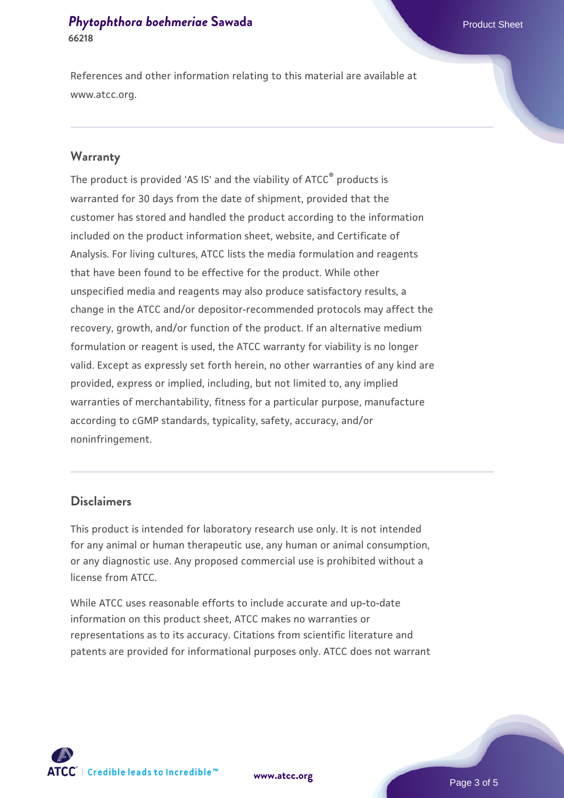#### **[Phytophthora boehmeriae](https://www.atcc.org/products/66218) [Sawada](https://www.atcc.org/products/66218)** Product Sheet **66218**

References and other information relating to this material are available at www.atcc.org.

#### **Warranty**

The product is provided 'AS IS' and the viability of ATCC® products is warranted for 30 days from the date of shipment, provided that the customer has stored and handled the product according to the information included on the product information sheet, website, and Certificate of Analysis. For living cultures, ATCC lists the media formulation and reagents that have been found to be effective for the product. While other unspecified media and reagents may also produce satisfactory results, a change in the ATCC and/or depositor-recommended protocols may affect the recovery, growth, and/or function of the product. If an alternative medium formulation or reagent is used, the ATCC warranty for viability is no longer valid. Except as expressly set forth herein, no other warranties of any kind are provided, express or implied, including, but not limited to, any implied warranties of merchantability, fitness for a particular purpose, manufacture according to cGMP standards, typicality, safety, accuracy, and/or noninfringement.

#### **Disclaimers**

This product is intended for laboratory research use only. It is not intended for any animal or human therapeutic use, any human or animal consumption, or any diagnostic use. Any proposed commercial use is prohibited without a license from ATCC.

While ATCC uses reasonable efforts to include accurate and up-to-date information on this product sheet, ATCC makes no warranties or representations as to its accuracy. Citations from scientific literature and patents are provided for informational purposes only. ATCC does not warrant

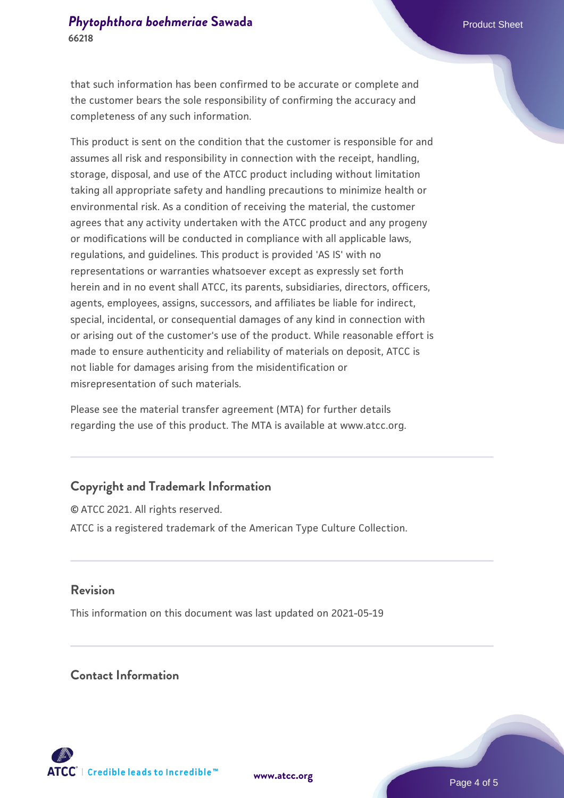that such information has been confirmed to be accurate or complete and the customer bears the sole responsibility of confirming the accuracy and completeness of any such information.

This product is sent on the condition that the customer is responsible for and assumes all risk and responsibility in connection with the receipt, handling, storage, disposal, and use of the ATCC product including without limitation taking all appropriate safety and handling precautions to minimize health or environmental risk. As a condition of receiving the material, the customer agrees that any activity undertaken with the ATCC product and any progeny or modifications will be conducted in compliance with all applicable laws, regulations, and guidelines. This product is provided 'AS IS' with no representations or warranties whatsoever except as expressly set forth herein and in no event shall ATCC, its parents, subsidiaries, directors, officers, agents, employees, assigns, successors, and affiliates be liable for indirect, special, incidental, or consequential damages of any kind in connection with or arising out of the customer's use of the product. While reasonable effort is made to ensure authenticity and reliability of materials on deposit, ATCC is not liable for damages arising from the misidentification or misrepresentation of such materials.

Please see the material transfer agreement (MTA) for further details regarding the use of this product. The MTA is available at www.atcc.org.

#### **Copyright and Trademark Information**

© ATCC 2021. All rights reserved. ATCC is a registered trademark of the American Type Culture Collection.

#### **Revision**

This information on this document was last updated on 2021-05-19

#### **Contact Information**